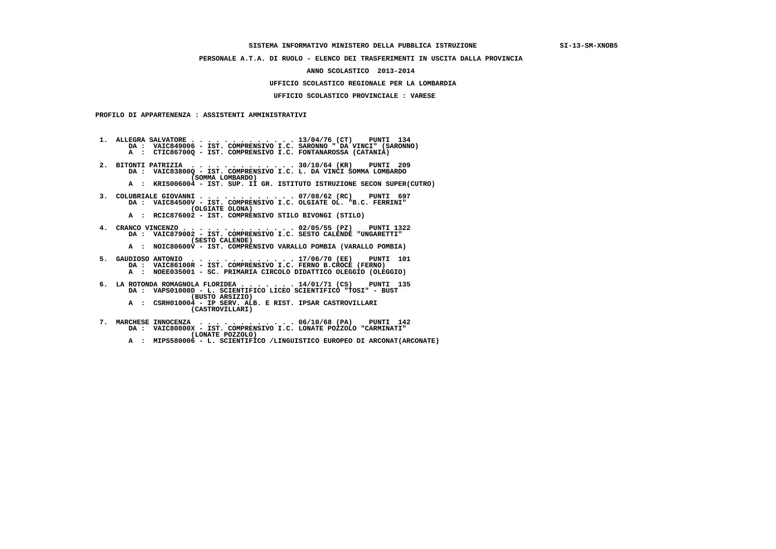## **SISTEMA INFORMATIVO MINISTERO DELLA PUBBLICA ISTRUZIONE SI-13-SM-XNOB5**

# **PERSONALE A.T.A. DI RUOLO - ELENCO DEI TRASFERIMENTI IN USCITA DALLA PROVINCIA**

### **ANNO SCOLASTICO 2013-2014**

#### **UFFICIO SCOLASTICO REGIONALE PER LA LOMBARDIA**

# **UFFICIO SCOLASTICO PROVINCIALE : VARESE**

 **PROFILO DI APPARTENENZA : ASSISTENTI AMMINISTRATIVI**

 **1. ALLEGRA SALVATORE . . . . . . . . . . . . . 13/04/76 (CT) PUNTI 134 DA : VAIC849006 - IST. COMPRENSIVO I.C. SARONNO " DA VINCI" (SARONNO) A : CTIC86700Q - IST. COMPRENSIVO I.C. FONTANAROSSA (CATANIA)**

- **2. BITONTI PATRIZIA . . . . . . . . . . . . . 30/10/64 (KR) PUNTI 209 DA : VAIC83800Q IST. COMPRENSIVO I.C. L. DA VINCI SOMMA LOMBARDO (SOMMA LOMBARDO)**
- **A : KRIS006004 IST. SUP. II GR. ISTITUTO ISTRUZIONE SECON SUPER(CUTRO)**
- **3. COLUBRIALE GIOVANNI . . . . . . . . . . . . 07/08/62 (RC) PUNTI 697 DA : VAIC84500V - IST. COMPRENSIVO I.C. OLGIATE OL. "B.C. FERRINI" (OLGIATE OLONA)**
- **A : RCIC876002 IST. COMPRENSIVO STILO BIVONGI (STILO)**

 **4. CRANCO VINCENZO . . . . . . . . . . . . . . 02/05/55 (PZ) PUNTI 1322 DA : VAIC879002 - IST. COMPRENSIVO I.C. SESTO CALENDE "UNGARETTI" (SESTO CALENDE)**

- **A : NOIC80600V IST. COMPRENSIVO VARALLO POMBIA (VARALLO POMBIA)**
- **5. GAUDIOSO ANTONIO . . . . . . . . . . . . . 17/06/70 (EE) PUNTI 101 DA : VAIC86100R IST. COMPRENSIVO I.C. FERNO B.CROCE (FERNO) A : NOEE035001 - SC. PRIMARIA CIRCOLO DIDATTICO OLEGGIO (OLEGGIO)**
	- **6. LA ROTONDA ROMAGNOLA FLORIDEA . . . . . . . 14/01/71 (CS) PUNTI 135 DA : VAPS01000D - L. SCIENTIFICO LICEO SCIENTIFICO "TOSI" - BUST (BUSTO ARSIZIO)**
- **A : CSRH010004 IP SERV. ALB. E RIST. IPSAR CASTROVILLARI (CASTROVILLARI)**
- **7. MARCHESE INNOCENZA . . . . . . . . . . . . 06/10/68 (PA) PUNTI 142 DA : VAIC80800X IST. COMPRENSIVO I.C. LONATE POZZOLO "CARMINATI" (LONATE POZZOLO)**
- **A : MIPS580006 L. SCIENTIFICO /LINGUISTICO EUROPEO DI ARCONAT(ARCONATE)**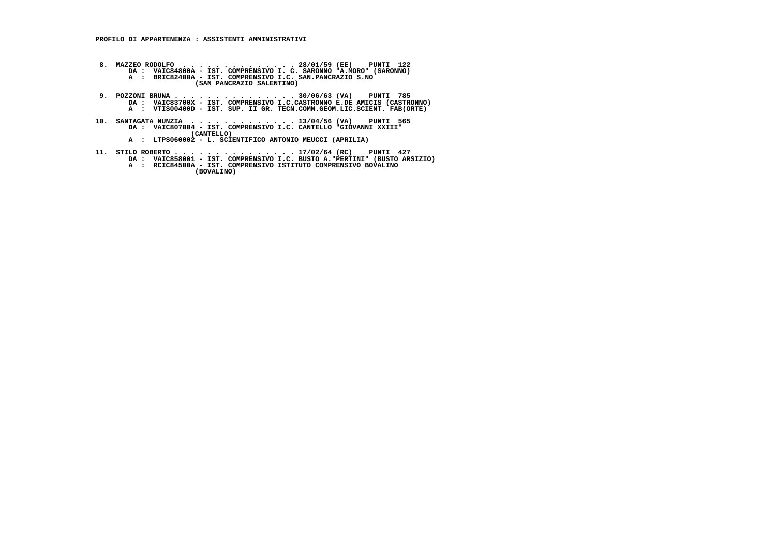- **8. MAZZEO RODOLFO . . . . . . . . . . . . . . 28/01/59 (EE) PUNTI 122 DA : VAIC84800A IST. COMPRENSIVO I. C. SARONNO "A.MORO" (SARONNO) A : BRIC82400A IST. COMPRENSIVO I.C. SAN.PANCRAZIO S.NO (SAN PANCRAZIO SALENTINO)**
- 9. POZZONI BRUNA . . . . . . . . . . . . . . . . 30/06/63 (VA) PUNTI 785<br>DA : VAIC83700X IST. COMPRENSIVO I.C.CASTRONNO E.DE AMICIS (CASTRONNO)<br>A : VTIS00400D IST. SUP. II GR. TECN.COMM.GEOM.LIC.SCIENT. FAB(ORTE)
- **10. SANTAGATA NUNZIA . . . . . . . . . . . . . 13/04/56 (VA) PUNTI 565 DA : VAIC807004 IST. COMPRENSIVO I.C. CANTELLO "GIOVANNI XXIII" (CANTELLO)**
- **A : LTPS060002 L. SCIENTIFICO ANTONIO MEUCCI (APRILIA)**
	-
- 11. STILO ROBERTO . . . . . . . . . . . . . . . 17/02/64 (RC) PUNTI 427<br>DA : VAIC858001 IST. COMPRENSIVO I.C. BUSTO A. "PERTINI" (BUSTO ASIZIO)<br>A : RCIC84500A IST. COMPRENSIVO ISTITUTO COMPRENSIVO BOVALINO
	- **(BOVALINO)**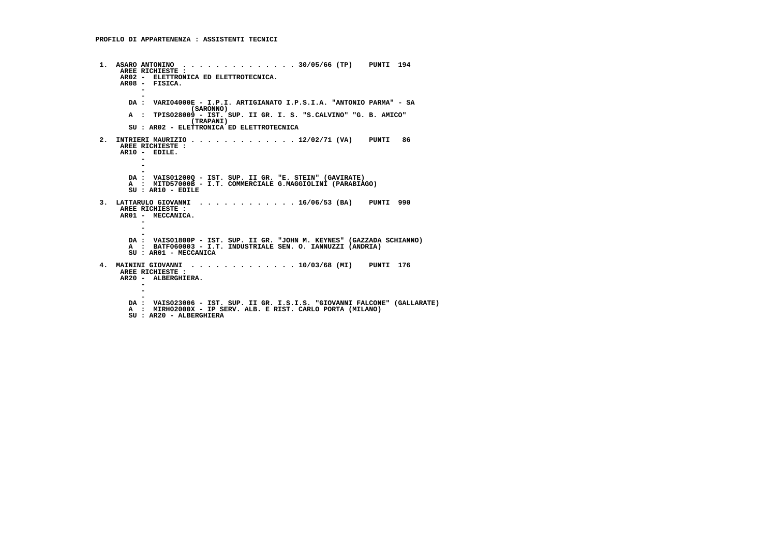**1. ASARO ANTONINO . . . . . . . . . . . . . . 30/05/66 (TP) PUNTI 194 AREE RICHIESTE : AR02 - ELETTRONICA ED ELETTROTECNICA. AR08 - FISICA. -** $\overline{a}$  **- DA : VARI04000E - I.P.I. ARTIGIANATO I.P.S.I.A. "ANTONIO PARMA" - SA (SARONNO) A : TPIS028009 - IST. SUP. II GR. I. S. "S.CALVINO" "G. B. AMICO" (TRAPANI) SU : AR02 - ELETTRONICA ED ELETTROTECNICA 2. INTRIERI MAURIZIO . . . . . . . . . . . . . 12/02/71 (VA) PUNTI 86 AREE RICHIESTE : AR10 - EDILE. -** $\overline{a}$  **- - DA : VAIS01200Q - IST. SUP. II GR. "E. STEIN" (GAVIRATE) A : MITD57000B - I.T. COMMERCIALE G.MAGGIOLINI (PARABIAGO) SU : AR10 - EDILE 3. LATTARULO GIOVANNI . . . . . . . . . . . . 16/06/53 (BA) PUNTI 990 AREE RICHIESTE : AR01 - MECCANICA. -** $\sim$  **- - DA : VAIS01800P - IST. SUP. II GR. "JOHN M. KEYNES" (GAZZADA SCHIANNO) A : BATF060003 - I.T. INDUSTRIALE SEN. O. IANNUZZI (ANDRIA) SU : AR01 - MECCANICA 4. MAININI GIOVANNI . . . . . . . . . . . . . 10/03/68 (MI) PUNTI 176 AREE RICHIESTE : AR20 - ALBERGHIERA. - -** $\overline{\phantom{a}}$  **- DA : VAIS023006 - IST. SUP. II GR. I.S.I.S. "GIOVANNI FALCONE" (GALLARATE) A : MIRH02000X - IP SERV. ALB. E RIST. CARLO PORTA (MILANO) SU : AR20 - ALBERGHIERA**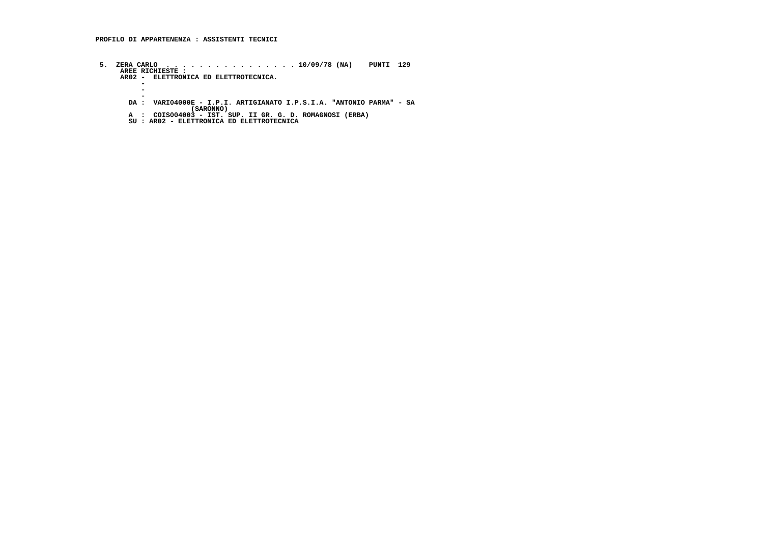- **5. ZERA CARLO . . . . . . . . . . . . . . . . 10/09/78 (NA) PUNTI 129 AREE RICHIESTE : AR02 ELETTRONICA ED ELETTROTECNICA. -** $\sim$  **-** $\sim$  **- DA : VARI04000E - I.P.I. ARTIGIANATO I.P.S.I.A. "ANTONIO PARMA" - SA**
- **(SARONNO) A : COIS004003 IST. SUP. II GR. G. D. ROMAGNOSI (ERBA)**
	- **SU : AR02 ELETTRONICA ED ELETTROTECNICA**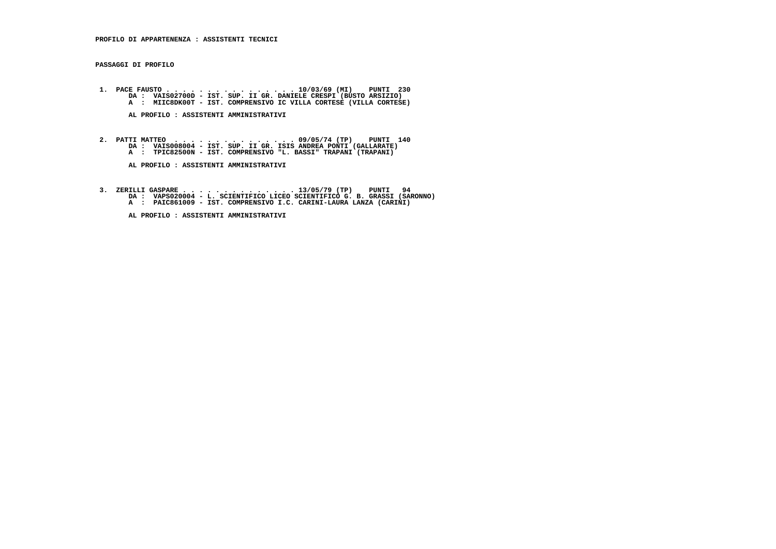**PASSAGGI DI PROFILO**

1. PACE FAUSTO . . . . . . . . . . . . . . . . . 10/03/69 (MI) PUNTI 230<br>DA : VAISO2700D - IST. SUP. II GR. DANIELE CRESPI (BUSTO ASIZIO)<br>A : MIIC8DK00T - IST. COMPRENSIVO IC VILLA CORTESE (VILLA CORTESE)

 **AL PROFILO : ASSISTENTI AMMINISTRATIVI**

 **2. PATTI MATTEO . . . . . . . . . . . . . . . 09/05/74 (TP) PUNTI 140 DA : VAIS008004 - IST. SUP. II GR. ISIS ANDREA PONTI (GALLARATE) A : TPIC82500N - IST. COMPRENSIVO "L. BASSI" TRAPANI (TRAPANI)**

 **AL PROFILO : ASSISTENTI AMMINISTRATIVI**

 **3. ZERILLI GASPARE . . . . . . . . . . . . . . 13/05/79 (TP) PUNTI 94 DA : VAPS020004 - L. SCIENTIFICO LICEO SCIENTIFICO G. B. GRASSI (SARONNO) A : PAIC861009 - IST. COMPRENSIVO I.C. CARINI-LAURA LANZA (CARINI)**

 **AL PROFILO : ASSISTENTI AMMINISTRATIVI**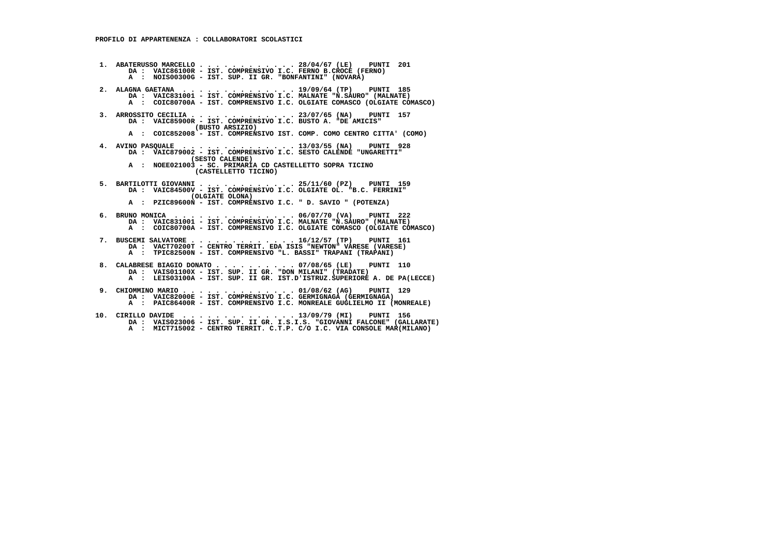**1. ABATERUSSO MARCELLO . . . . . . . . . . . . 28/04/67 (LE) PUNTI 201 DA : VAIC86100R - IST. COMPRENSIVO I.C. FERNO B.CROCE (FERNO) A : NOIS00300G - IST. SUP. II GR. "BONFANTINI" (NOVARA) 2. ALAGNA GAETANA . . . . . . . . . . . . . . 19/09/64 (TP) PUNTI 185 DA : VAIC831001 - IST. COMPRENSIVO I.C. MALNATE "N.SAURO" (MALNATE) A : COIC80700A - IST. COMPRENSIVO I.C. OLGIATE COMASCO (OLGIATE COMASCO) 3. ARROSSITO CECILIA . . . . . . . . . . . . . 23/07/65 (NA) PUNTI 157 DA : VAIC85900R - IST. COMPRENSIVO I.C. BUSTO A. "DE AMICIS" (BUSTO ARSIZIO) A : COIC852008 - IST. COMPRENSIVO IST. COMP. COMO CENTRO CITTA' (COMO) 4. AVINO PASQUALE . . . . . . . . . . . . . . 13/03/55 (NA) PUNTI 928 DA : VAIC879002 - IST. COMPRENSIVO I.C. SESTO CALENDE "UNGARETTI" (SESTO CALENDE) A : NOEE021003 - SC. PRIMARIA CD CASTELLETTO SOPRA TICINO (CASTELLETTO TICINO) 5. BARTILOTTI GIOVANNI . . . . . . . . . . . . 25/11/60 (PZ) PUNTI 159 DA : VAIC84500V - IST. COMPRENSIVO I.C. OLGIATE OL. "B.C. FERRINI" (OLGIATE OLONA) A : PZIC89600N - IST. COMPRENSIVO I.C. " D. SAVIO " (POTENZA) 6. BRUNO MONICA . . . . . . . . . . . . . . . 06/07/70 (VA) PUNTI 222 DA : VAIC831001 - IST. COMPRENSIVO I.C. MALNATE "N.SAURO" (MALNATE) A : COIC80700A - IST. COMPRENSIVO I.C. OLGIATE COMASCO (OLGIATE COMASCO) 7. BUSCEMI SALVATORE . . . . . . . . . . . . . 16/12/57 (TP) PUNTI 161 DA : VACT70200T - CENTRO TERRIT. EDA ISIS "NEWTON" VARESE (VARESE) A : TPIC82500N - IST. COMPRENSIVO "L. BASSI" TRAPANI (TRAPANI) 8. CALABRESE BIAGIO DONATO . . . . . . . . . . 07/08/65 (LE) PUNTI 110 DA : VAIS01100X - IST. SUP. II GR. "DON MILANI" (TRADATE) A : LEIS03100A - IST. SUP. II GR. IST.D'ISTRUZ.SUPERIORE A. DE PA(LECCE) 9. CHIOMMINO MARIO . . . . . . . . . . . . . . 01/08/62 (AG) PUNTI 129 DA : VAIC82000E - IST. COMPRENSIVO I.C. GERMIGNAGA (GERMIGNAGA) A : PAIC86400R - IST. COMPRENSIVO I.C. MONREALE GUGLIELMO II (MONREALE)**

 **10. CIRILLO DAVIDE . . . . . . . . . . . . . . 13/09/79 (MI) PUNTI 156 DA : VAIS023006 - IST. SUP. II GR. I.S.I.S. "GIOVANNI FALCONE" (GALLARATE) A : MICT715002 - CENTRO TERRIT. C.T.P. C/O I.C. VIA CONSOLE MAR(MILANO)**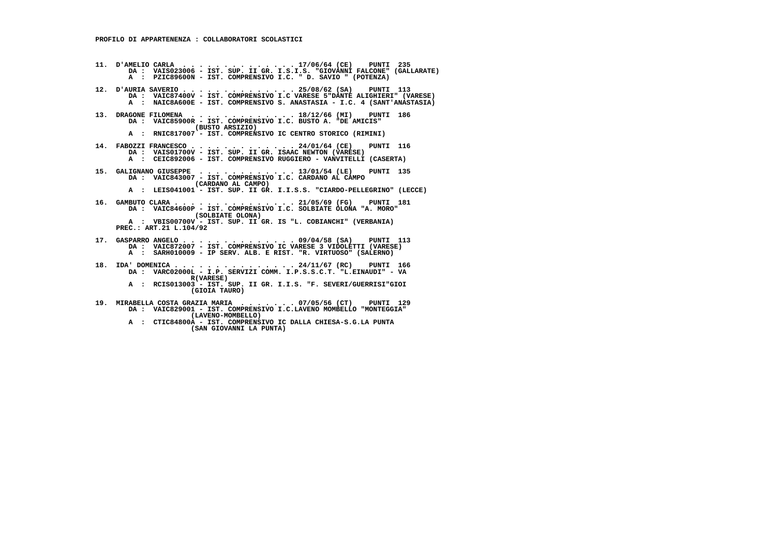- **11. D'AMELIO CARLA . . . . . . . . . . . . . . 17/06/64 (CE) PUNTI 235 DA : VAIS023006 - IST. SUP. II GR. I.S.I.S. "GIOVANNI FALCONE" (GALLARATE) A : PZIC89600N - IST. COMPRENSIVO I.C. " D. SAVIO " (POTENZA)**
- **12. D'AURIA SAVERIO . . . . . . . . . . . . . . 25/08/62 (SA) PUNTI 113 DA : VAIC87400V IST. COMPRENSIVO I.C VARESE 5"DANTE ALIGHIERI" (VARESE) A : NAIC8A600E - IST. COMPRENSIVO S. ANASTASIA - I.C. 4 (SANT'ANASTASIA)**
	- **13. DRAGONE FILOMENA . . . . . . . . . . . . . 18/12/66 (MI) PUNTI 186 DA : VAIC85900R - IST. COMPRENSIVO I.C. BUSTO A. "DE AMICIS" (BUSTO ARSIZIO)**
- **A : RNIC817007 IST. COMPRENSIVO IC CENTRO STORICO (RIMINI)**
- **14. FABOZZI FRANCESCO . . . . . . . . . . . . . 24/01/64 (CE) PUNTI 116 DA : VAIS01700V IST. SUP. II GR. ISAAC NEWTON (VARESE) A : CEIC892006 IST. COMPRENSIVO RUGGIERO VANVITELLI (CASERTA)**
	- **15. GALIGNANO GIUSEPPE . . . . . . . . . . . . 13/01/54 (LE) PUNTI 135 DA : VAIC843007 - IST. COMPRENSIVO I.C. CARDANO AL CAMPO (CARDANO AL CAMPO)**
- **A : LEIS041001 IST. SUP. II GR. I.I.S.S. "CIARDO-PELLEGRINO" (LECCE)**
- **16. GAMBUTO CLARA . . . . . . . . . . . . . . . 21/05/69 (FG) PUNTI 181 DA : VAIC84600P IST. COMPRENSIVO I.C. SOLBIATE OLONA "A. MORO" (SOLBIATE OLONA) A : VBIS00700V - IST. SUP. II GR. IS "L. COBIANCHI" (VERBANIA) PREC.: ART.21 L.104/92**
	- **17. GASPARRO ANGELO . . . . . . . . . . . . . . 09/04/58 (SA) PUNTI 113 DA : VAIC872007 - IST. COMPRENSIVO IC VARESE 3 VIDOLETTI (VARESE) A : SARH010009 - IP SERV. ALB. E RIST. "R. VIRTUOSO" (SALERNO)**
- **18. IDA' DOMENICA . . . . . . . . . . . . . . . 24/11/67 (RC) PUNTI 166 DA : VARC02000L I.P. SERVIZI COMM. I.P.S.S.C.T. "L.EINAUDI" VA R(VARESE)**
- **A : RCIS013003 IST. SUP. II GR. I.I.S. "F. SEVERI/GUERRISI"GIOI (GIOIA TAURO)**
- **19. MIRABELLA COSTA GRAZIA MARIA . . . . . . . 07/05/56 (CT) PUNTI 129 DA : VAIC829001 - IST. COMPRENSIVO I.C.LAVENO MOMBELLO "MONTEGGIA" (LAVENO-MOMBELLO)**
- **A : CTIC84800A IST. COMPRENSIVO IC DALLA CHIESA-S.G.LA PUNTA (SAN GIOVANNI LA PUNTA)**